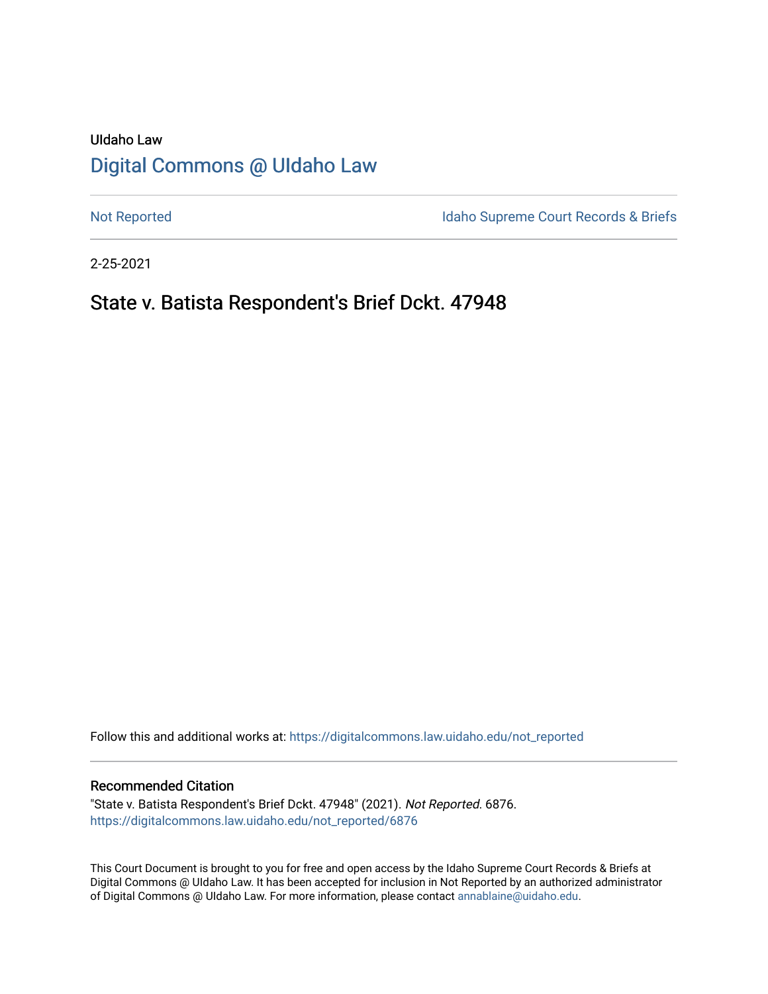# UIdaho Law [Digital Commons @ UIdaho Law](https://digitalcommons.law.uidaho.edu/)

[Not Reported](https://digitalcommons.law.uidaho.edu/not_reported) **Idaho Supreme Court Records & Briefs** 

2-25-2021

# State v. Batista Respondent's Brief Dckt. 47948

Follow this and additional works at: [https://digitalcommons.law.uidaho.edu/not\\_reported](https://digitalcommons.law.uidaho.edu/not_reported?utm_source=digitalcommons.law.uidaho.edu%2Fnot_reported%2F6876&utm_medium=PDF&utm_campaign=PDFCoverPages) 

#### Recommended Citation

"State v. Batista Respondent's Brief Dckt. 47948" (2021). Not Reported. 6876. [https://digitalcommons.law.uidaho.edu/not\\_reported/6876](https://digitalcommons.law.uidaho.edu/not_reported/6876?utm_source=digitalcommons.law.uidaho.edu%2Fnot_reported%2F6876&utm_medium=PDF&utm_campaign=PDFCoverPages)

This Court Document is brought to you for free and open access by the Idaho Supreme Court Records & Briefs at Digital Commons @ UIdaho Law. It has been accepted for inclusion in Not Reported by an authorized administrator of Digital Commons @ UIdaho Law. For more information, please contact [annablaine@uidaho.edu](mailto:annablaine@uidaho.edu).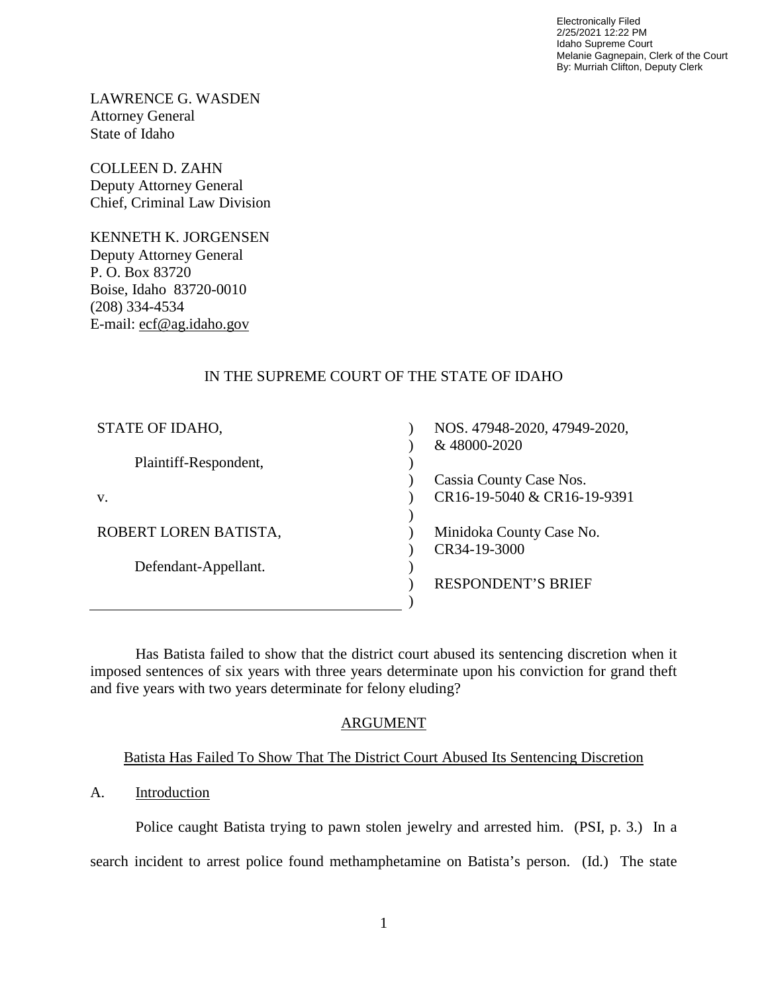Electronically Filed 2/25/2021 12:22 PM Idaho Supreme Court Melanie Gagnepain, Clerk of the Court By: Murriah Clifton, Deputy Clerk

LAWRENCE G. WASDEN Attorney General State of Idaho

COLLEEN D. ZAHN Deputy Attorney General Chief, Criminal Law Division

KENNETH K. JORGENSEN Deputy Attorney General P. O. Box 83720 Boise, Idaho 83720-0010 (208) 334-4534 E-mail: ecf@ag.idaho.gov

## IN THE SUPREME COURT OF THE STATE OF IDAHO

| STATE OF IDAHO,       | NOS. 47948-2020, 47949-2020, |
|-----------------------|------------------------------|
|                       | & 48000-2020                 |
| Plaintiff-Respondent, |                              |
|                       | Cassia County Case Nos.      |
| V.                    | CR16-19-5040 & CR16-19-9391  |
|                       |                              |
| ROBERT LOREN BATISTA, | Minidoka County Case No.     |
|                       | CR34-19-3000                 |
| Defendant-Appellant.  |                              |
|                       | <b>RESPONDENT'S BRIEF</b>    |
|                       |                              |

Has Batista failed to show that the district court abused its sentencing discretion when it imposed sentences of six years with three years determinate upon his conviction for grand theft and five years with two years determinate for felony eluding?

## ARGUMENT

## Batista Has Failed To Show That The District Court Abused Its Sentencing Discretion

## A. Introduction

Police caught Batista trying to pawn stolen jewelry and arrested him. (PSI, p. 3.) In a search incident to arrest police found methamphetamine on Batista's person. (Id.) The state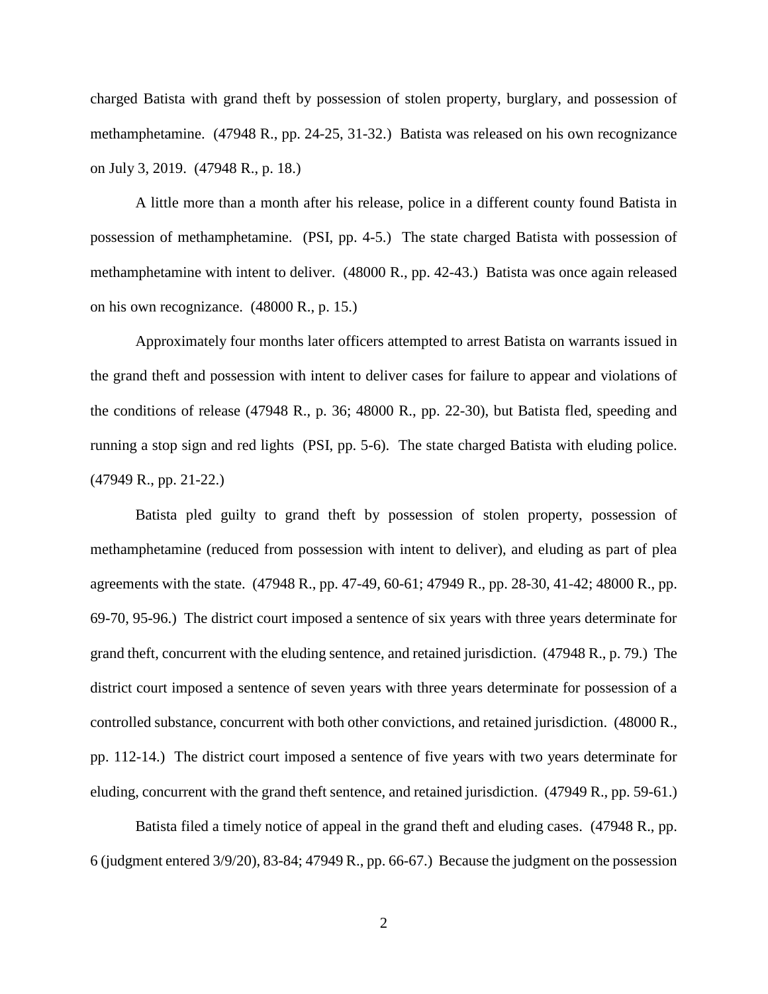charged Batista with grand theft by possession of stolen property, burglary, and possession of methamphetamine. (47948 R., pp. 24-25, 31-32.) Batista was released on his own recognizance on July 3, 2019. (47948 R., p. 18.)

A little more than a month after his release, police in a different county found Batista in possession of methamphetamine. (PSI, pp. 4-5.) The state charged Batista with possession of methamphetamine with intent to deliver. (48000 R., pp. 42-43.) Batista was once again released on his own recognizance. (48000 R., p. 15.)

Approximately four months later officers attempted to arrest Batista on warrants issued in the grand theft and possession with intent to deliver cases for failure to appear and violations of the conditions of release (47948 R., p. 36; 48000 R., pp. 22-30), but Batista fled, speeding and running a stop sign and red lights (PSI, pp. 5-6). The state charged Batista with eluding police. (47949 R., pp. 21-22.)

 Batista pled guilty to grand theft by possession of stolen property, possession of methamphetamine (reduced from possession with intent to deliver), and eluding as part of plea agreements with the state. (47948 R., pp. 47-49, 60-61; 47949 R., pp. 28-30, 41-42; 48000 R., pp. 69-70, 95-96.) The district court imposed a sentence of six years with three years determinate for grand theft, concurrent with the eluding sentence, and retained jurisdiction. (47948 R., p. 79.) The district court imposed a sentence of seven years with three years determinate for possession of a controlled substance, concurrent with both other convictions, and retained jurisdiction. (48000 R., pp. 112-14.) The district court imposed a sentence of five years with two years determinate for eluding, concurrent with the grand theft sentence, and retained jurisdiction. (47949 R., pp. 59-61.)

Batista filed a timely notice of appeal in the grand theft and eluding cases. (47948 R., pp. 6 (judgment entered 3/9/20), 83-84; 47949 R., pp. 66-67.) Because the judgment on the possession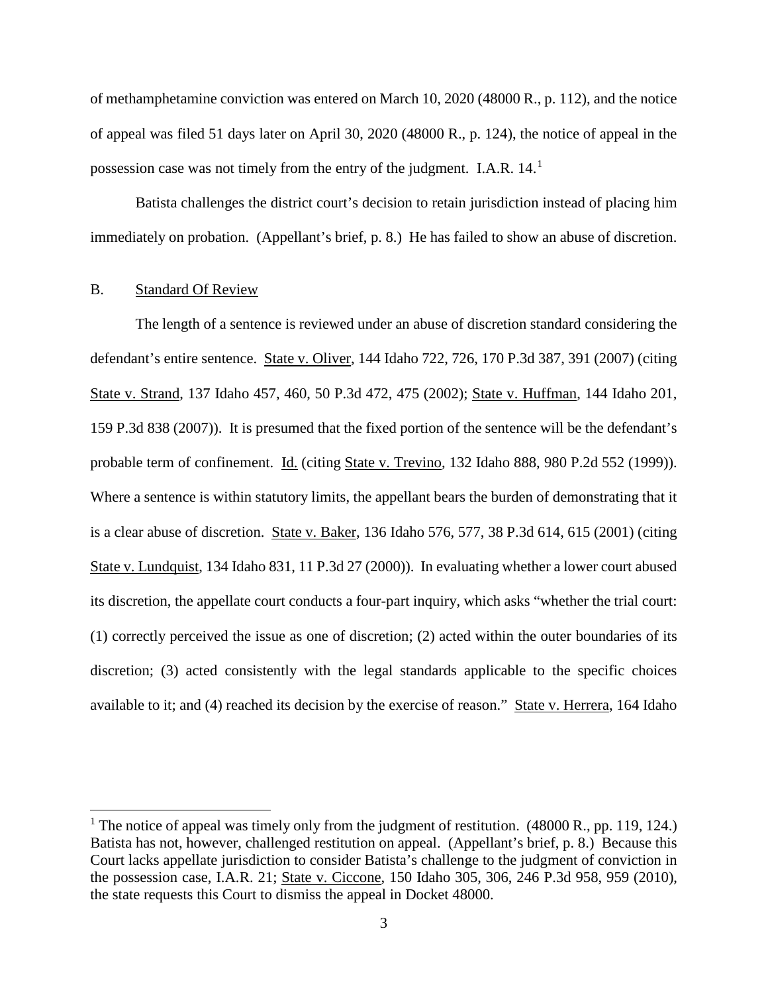of methamphetamine conviction was entered on March 10, 2020 (48000 R., p. 112), and the notice of appeal was filed 51 days later on April 30, 2020 (48000 R., p. 124), the notice of appeal in the possession case was not timely from the entry of the judgment. I.A.R.  $14.1$  $14.1$ 

Batista challenges the district court's decision to retain jurisdiction instead of placing him immediately on probation. (Appellant's brief, p. 8.) He has failed to show an abuse of discretion.

#### B. Standard Of Review

 $\overline{a}$ 

The length of a sentence is reviewed under an abuse of discretion standard considering the defendant's entire sentence. State v. Oliver, 144 Idaho 722, 726, 170 P.3d 387, 391 (2007) (citing State v. Strand, 137 Idaho 457, 460, 50 P.3d 472, 475 (2002); State v. Huffman, 144 Idaho 201, 159 P.3d 838 (2007)). It is presumed that the fixed portion of the sentence will be the defendant's probable term of confinement. Id. (citing State v. Trevino, 132 Idaho 888, 980 P.2d 552 (1999)). Where a sentence is within statutory limits, the appellant bears the burden of demonstrating that it is a clear abuse of discretion. State v. Baker, 136 Idaho 576, 577, 38 P.3d 614, 615 (2001) (citing State v. Lundquist, 134 Idaho 831, 11 P.3d 27 (2000)). In evaluating whether a lower court abused its discretion, the appellate court conducts a four-part inquiry, which asks "whether the trial court: (1) correctly perceived the issue as one of discretion; (2) acted within the outer boundaries of its discretion; (3) acted consistently with the legal standards applicable to the specific choices available to it; and (4) reached its decision by the exercise of reason." State v. Herrera, 164 Idaho

<span id="page-3-0"></span><sup>&</sup>lt;sup>1</sup> The notice of appeal was timely only from the judgment of restitution.  $(48000 \text{ R., pp. } 119, 124.)$ Batista has not, however, challenged restitution on appeal. (Appellant's brief, p. 8.) Because this Court lacks appellate jurisdiction to consider Batista's challenge to the judgment of conviction in the possession case, I.A.R. 21; State v. Ciccone, 150 Idaho 305, 306, 246 P.3d 958, 959 (2010), the state requests this Court to dismiss the appeal in Docket 48000.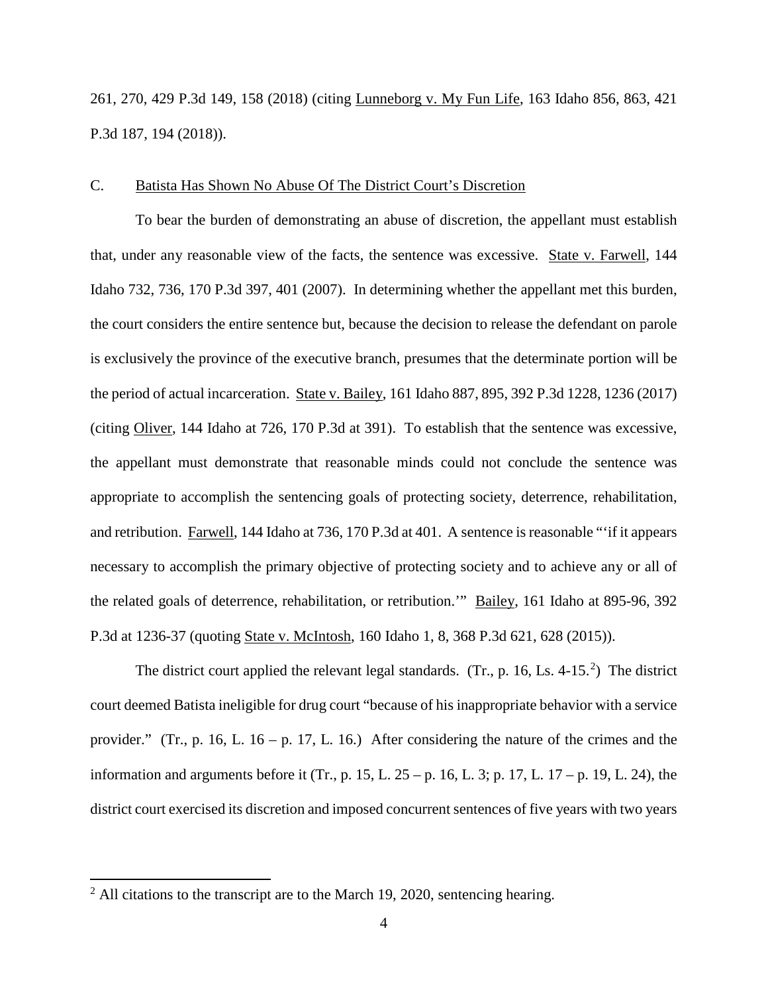261, 270, 429 P.3d 149, 158 (2018) (citing Lunneborg v. My Fun Life, 163 Idaho 856, 863, 421 P.3d 187, 194 (2018)).

#### C. Batista Has Shown No Abuse Of The District Court's Discretion

To bear the burden of demonstrating an abuse of discretion, the appellant must establish that, under any reasonable view of the facts, the sentence was excessive. State v. Farwell, 144 Idaho 732, 736, 170 P.3d 397, 401 (2007). In determining whether the appellant met this burden, the court considers the entire sentence but, because the decision to release the defendant on parole is exclusively the province of the executive branch, presumes that the determinate portion will be the period of actual incarceration. State v. Bailey, 161 Idaho 887, 895, 392 P.3d 1228, 1236 (2017) (citing Oliver, 144 Idaho at 726, 170 P.3d at 391). To establish that the sentence was excessive, the appellant must demonstrate that reasonable minds could not conclude the sentence was appropriate to accomplish the sentencing goals of protecting society, deterrence, rehabilitation, and retribution. Farwell, 144 Idaho at 736, 170 P.3d at 401. A sentence is reasonable "'if it appears necessary to accomplish the primary objective of protecting society and to achieve any or all of the related goals of deterrence, rehabilitation, or retribution.'" Bailey, 161 Idaho at 895-96, 392 P.3d at 1236-37 (quoting State v. McIntosh, 160 Idaho 1, 8, 368 P.3d 621, 628 (2015)).

The district court applied the relevant legal standards.  $(Tr., p. 16, Ls. 4-15.^2)$  $(Tr., p. 16, Ls. 4-15.^2)$  $(Tr., p. 16, Ls. 4-15.^2)$  The district court deemed Batista ineligible for drug court "because of his inappropriate behavior with a service provider." (Tr., p. 16, L. 16 – p. 17, L. 16.) After considering the nature of the crimes and the information and arguments before it (Tr., p. 15, L.  $25 - p$ . 16, L. 3; p. 17, L. 17 – p. 19, L. 24), the district court exercised its discretion and imposed concurrent sentences of five years with two years

<span id="page-4-0"></span><sup>&</sup>lt;sup>2</sup> All citations to the transcript are to the March 19, 2020, sentencing hearing.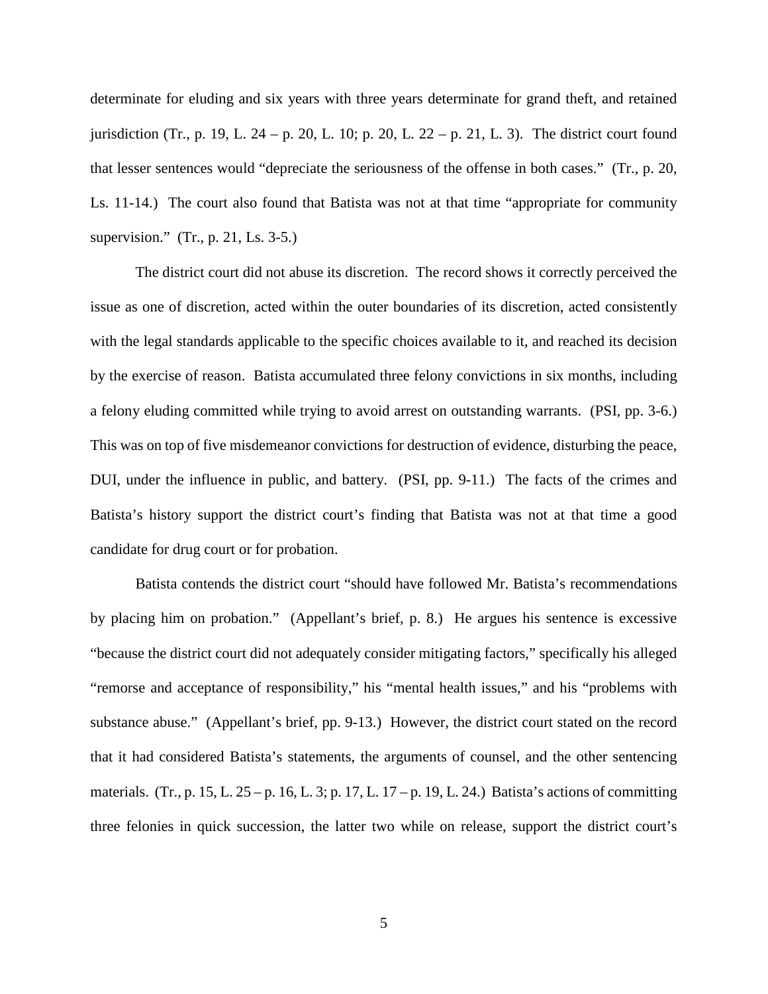determinate for eluding and six years with three years determinate for grand theft, and retained jurisdiction (Tr., p. 19, L. 24 – p. 20, L. 10; p. 20, L. 22 – p. 21, L. 3). The district court found that lesser sentences would "depreciate the seriousness of the offense in both cases." (Tr., p. 20, Ls. 11-14.) The court also found that Batista was not at that time "appropriate for community supervision." (Tr., p. 21, Ls. 3-5.)

 The district court did not abuse its discretion. The record shows it correctly perceived the issue as one of discretion, acted within the outer boundaries of its discretion, acted consistently with the legal standards applicable to the specific choices available to it, and reached its decision by the exercise of reason. Batista accumulated three felony convictions in six months, including a felony eluding committed while trying to avoid arrest on outstanding warrants. (PSI, pp. 3-6.) This was on top of five misdemeanor convictions for destruction of evidence, disturbing the peace, DUI, under the influence in public, and battery. (PSI, pp. 9-11.) The facts of the crimes and Batista's history support the district court's finding that Batista was not at that time a good candidate for drug court or for probation.

Batista contends the district court "should have followed Mr. Batista's recommendations by placing him on probation." (Appellant's brief, p. 8.) He argues his sentence is excessive "because the district court did not adequately consider mitigating factors," specifically his alleged "remorse and acceptance of responsibility," his "mental health issues," and his "problems with substance abuse." (Appellant's brief, pp. 9-13.) However, the district court stated on the record that it had considered Batista's statements, the arguments of counsel, and the other sentencing materials. (Tr., p. 15, L. 25 – p. 16, L. 3; p. 17, L. 17 – p. 19, L. 24.) Batista's actions of committing three felonies in quick succession, the latter two while on release, support the district court's